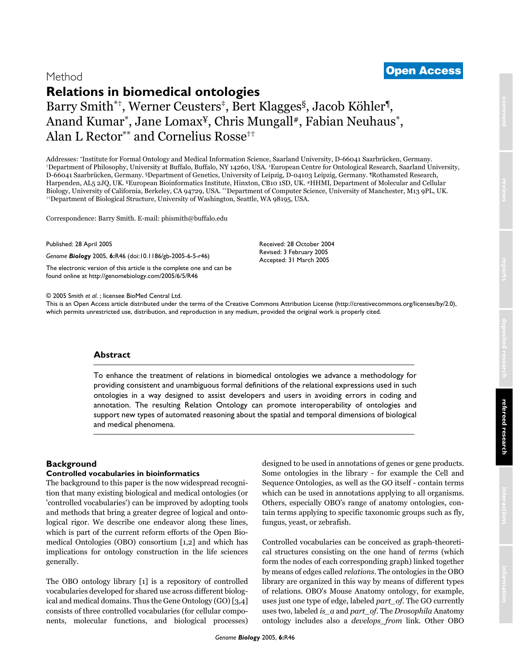# **Relations in biomedical ontologies**

Barry Smith\*†, Werner Ceusters‡, Bert Klagges§, Jacob Köhler¶, Anand Kumar<sup>\*</sup>, Jane Lomax<sup>¥</sup>, Chris Mungall<sup>#</sup>, Fabian Neuhaus<sup>\*</sup>, Alan L Rector\*\* and Cornelius Rosse††

Addresses: \*Institute for Formal Ontology and Medical Information Science, Saarland University, D-66041 Saarbrücken, Germany.<br>†Department of Philosophy, University at Buffalo, Buffalo, NY 14260, USA. †European Centre for O D-66041 Saarbrücken, Germany. §Department of Genetics, University of Leipzig, D-04103 Leipzig, Germany. ¶Rothamsted Research, Harpenden, AL5 2JQ, UK. ¥European Bioinformatics Institute, Hinxton, CB10 1SD, UK. #HHMI, Department of Molecular and Cellular Biology, University of California, Berkeley, CA 94729, USA. \*\*Department of Computer Science, University of Manchester, M13 9PL, UK. ††Department of Biological Structure, University of Washington, Seattle, WA 98195, USA.

> Received: 28 October 2004 Revised: 3 February 2005 Accepted: 31 March 2005

Correspondence: Barry Smith. E-mail: phismith@buffalo.edu

Published: 28 April 2005

*Genome Biology* 2005, **6:**R46 (doi:10.1186/gb-2005-6-5-r46)

[The electronic version of this article is the complete one and can be](http://genomebiology.com/2005/6/5/R46)  found online at http://genomebiology.com/2005/6/5/R46

© 2005 Smith *et al*. ; licensee BioMed Central Ltd.

[This is an Open Access article distributed under the terms of the Creative Commons Attribution License \(http://creativecommons.org/licenses/by/2.0\),](http://creativecommons.org/licenses/by/2.0)  which permits unrestricted use, distribution, and reproduction in any medium, provided the original work is properly cited.

# **Abstract**

To enhance the treatment of relations in biomedical ontologies we advance a methodology for providing consistent and unambiguous formal definitions of the relational expressions used in such ontologies in a way designed to assist developers and users in avoiding errors in coding and annotation. The resulting Relation Ontology can promote interoperability of ontologies and support new types of automated reasoning about the spatial and temporal dimensions of biological and medical phenomena.

# **Background**

### **Controlled vocabularies in bioinformatics**

The background to this paper is the now widespread recognition that many existing biological and medical ontologies (or 'controlled vocabularies') can be improved by adopting tools and methods that bring a greater degree of logical and ontological rigor. We describe one endeavor along these lines, which is part of the current reform efforts of the Open Biomedical Ontologies (OBO) consortium [1,2] and which has implications for ontology construction in the life sciences generally.

The OBO ontology library [1] is a repository of controlled vocabularies developed for shared use across different biological and medical domains. Thus the Gene Ontology (GO) [3,4] consists of three controlled vocabularies (for cellular components, molecular functions, and biological processes) designed to be used in annotations of genes or gene products. Some ontologies in the library - for example the Cell and Sequence Ontologies, as well as the GO itself - contain terms which can be used in annotations applying to all organisms. Others, especially OBO's range of anatomy ontologies, contain terms applying to specific taxonomic groups such as fly, fungus, yeast, or zebrafish.

Controlled vocabularies can be conceived as graph-theoretical structures consisting on the one hand of *terms* (which form the nodes of each corresponding graph) linked together by means of edges called *relations*. The ontologies in the OBO library are organized in this way by means of different types of relations. OBO's Mouse Anatomy ontology, for example, uses just one type of edge, labeled *part\_of*. The GO currently uses two, labeled *is\_a* and *part\_of*. The *Drosophila* Anatomy ontology includes also a *develops\_from* link. Other OBO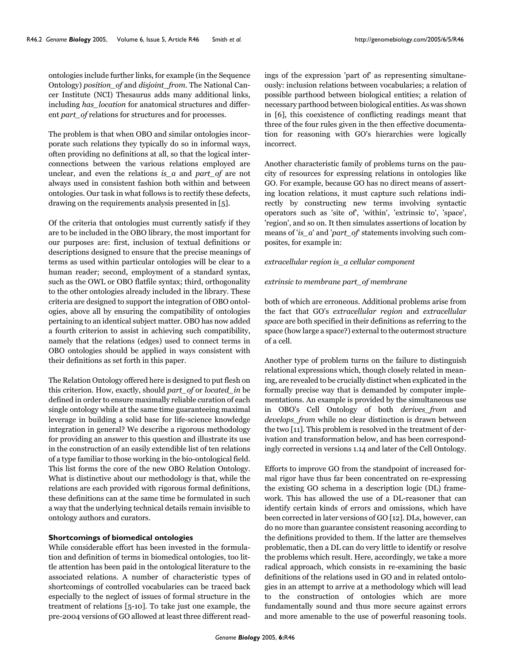ontologies include further links, for example (in the Sequence Ontology) *position\_of* and *disjoint\_from*. The National Cancer Institute (NCI) Thesaurus adds many additional links, including *has\_location* for anatomical structures and different *part\_of* relations for structures and for processes.

The problem is that when OBO and similar ontologies incorporate such relations they typically do so in informal ways, often providing no definitions at all, so that the logical interconnections between the various relations employed are unclear, and even the relations *is\_a* and *part\_of* are not always used in consistent fashion both within and between ontologies. Our task in what follows is to rectify these defects, drawing on the requirements analysis presented in [5].

Of the criteria that ontologies must currently satisfy if they are to be included in the OBO library, the most important for our purposes are: first, inclusion of textual definitions or descriptions designed to ensure that the precise meanings of terms as used within particular ontologies will be clear to a human reader; second, employment of a standard syntax, such as the OWL or OBO flatfile syntax; third, orthogonality to the other ontologies already included in the library. These criteria are designed to support the integration of OBO ontologies, above all by ensuring the compatibility of ontologies pertaining to an identical subject matter. OBO has now added a fourth criterion to assist in achieving such compatibility, namely that the relations (edges) used to connect terms in OBO ontologies should be applied in ways consistent with their definitions as set forth in this paper.

The Relation Ontology offered here is designed to put flesh on this criterion. How, exactly, should *part\_of* or *located\_in* be defined in order to ensure maximally reliable curation of each single ontology while at the same time guaranteeing maximal leverage in building a solid base for life-science knowledge integration in general? We describe a rigorous methodology for providing an answer to this question and illustrate its use in the construction of an easily extendible list of ten relations of a type familiar to those working in the bio-ontological field. This list forms the core of the new OBO Relation Ontology. What is distinctive about our methodology is that, while the relations are each provided with rigorous formal definitions, these definitions can at the same time be formulated in such a way that the underlying technical details remain invisible to ontology authors and curators.

# **Shortcomings of biomedical ontologies**

While considerable effort has been invested in the formulation and definition of terms in biomedical ontologies, too little attention has been paid in the ontological literature to the associated relations. A number of characteristic types of shortcomings of controlled vocabularies can be traced back especially to the neglect of issues of formal structure in the treatment of relations [5-10]. To take just one example, the pre-2004 versions of GO allowed at least three different readings of the expression 'part of' as representing simultaneously: inclusion relations between vocabularies; a relation of possible parthood between biological entities; a relation of necessary parthood between biological entities. As was shown in [6], this coexistence of conflicting readings meant that three of the four rules given in the then effective documentation for reasoning with GO's hierarchies were logically incorrect.

Another characteristic family of problems turns on the paucity of resources for expressing relations in ontologies like GO. For example, because GO has no direct means of asserting location relations, it must capture such relations indirectly by constructing new terms involving syntactic operators such as 'site of', 'within', 'extrinsic to', 'space', 'region', and so on. It then simulates assertions of location by means of '*is\_a*' and '*part\_of*' statements involving such composites, for example in:

#### *extracellular region is\_a cellular component*

#### *extrinsic to membrane part\_of membrane*

both of which are erroneous. Additional problems arise from the fact that GO's *extracellular region* and *extracellular space* are both specified in their definitions as referring to the space (how large a space?) external to the outermost structure of a cell.

Another type of problem turns on the failure to distinguish relational expressions which, though closely related in meaning, are revealed to be crucially distinct when explicated in the formally precise way that is demanded by computer implementations. An example is provided by the simultaneous use in OBO's Cell Ontology of both *derives\_from* and *develops\_from* while no clear distinction is drawn between the two [11]. This problem is resolved in the treatment of derivation and transformation below, and has been correspondingly corrected in versions 1.14 and later of the Cell Ontology.

Efforts to improve GO from the standpoint of increased formal rigor have thus far been concentrated on re-expressing the existing GO schema in a description logic (DL) framework. This has allowed the use of a DL-reasoner that can identify certain kinds of errors and omissions, which have been corrected in later versions of GO [12]. DLs, however, can do no more than guarantee consistent reasoning according to the definitions provided to them. If the latter are themselves problematic, then a DL can do very little to identify or resolve the problems which result. Here, accordingly, we take a more radical approach, which consists in re-examining the basic definitions of the relations used in GO and in related ontologies in an attempt to arrive at a methodology which will lead to the construction of ontologies which are more fundamentally sound and thus more secure against errors and more amenable to the use of powerful reasoning tools.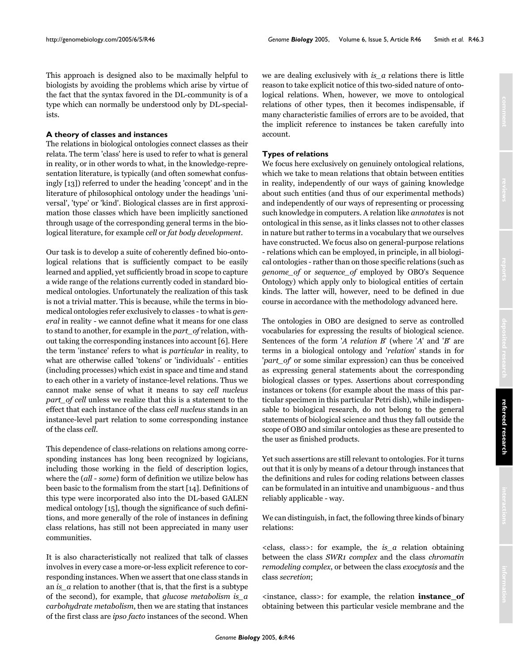This approach is designed also to be maximally helpful to biologists by avoiding the problems which arise by virtue of the fact that the syntax favored in the DL-community is of a type which can normally be understood only by DL-specialists.

# **A theory of classes and instances**

The relations in biological ontologies connect classes as their relata. The term 'class' here is used to refer to what is general in reality, or in other words to what, in the knowledge-representation literature, is typically (and often somewhat confusingly [13]) referred to under the heading 'concept' and in the literature of philosophical ontology under the headings 'universal', 'type' or 'kind'. Biological classes are in first approximation those classes which have been implicitly sanctioned through usage of the corresponding general terms in the biological literature, for example *cell* or *fat body development*.

Our task is to develop a suite of coherently defined bio-ontological relations that is sufficiently compact to be easily learned and applied, yet sufficiently broad in scope to capture a wide range of the relations currently coded in standard biomedical ontologies. Unfortunately the realization of this task is not a trivial matter. This is because, while the terms in biomedical ontologies refer exclusively to classes - to what is *general* in reality - we cannot define what it means for one class to stand to another, for example in the *part\_of* relation, without taking the corresponding instances into account [6]. Here the term 'instance' refers to what is *particular* in reality, to what are otherwise called 'tokens' or 'individuals' - entities (including processes) which exist in space and time and stand to each other in a variety of instance-level relations. Thus we cannot make sense of what it means to say *cell nucleus part of cell unless we realize that this is a statement to the* effect that each instance of the class *cell nucleus* stands in an instance-level part relation to some corresponding instance of the class *cell*.

This dependence of class-relations on relations among corresponding instances has long been recognized by logicians, including those working in the field of description logics, where the (*all - some*) form of definition we utilize below has been basic to the formalism from the start [14]. Definitions of this type were incorporated also into the DL-based GALEN medical ontology [15], though the significance of such definitions, and more generally of the role of instances in defining class relations, has still not been appreciated in many user communities.

It is also characteristically not realized that talk of classes involves in every case a more-or-less explicit reference to corresponding instances. When we assert that one class stands in an *is\_a* relation to another (that is, that the first is a subtype of the second), for example, that *glucose metabolism is\_a carbohydrate metabolism*, then we are stating that instances of the first class are *ipso facto* instances of the second. When

we are dealing exclusively with *is\_a* relations there is little reason to take explicit notice of this two-sided nature of ontological relations. When, however, we move to ontological relations of other types, then it becomes indispensable, if many characteristic families of errors are to be avoided, that the implicit reference to instances be taken carefully into account.

# **Types of relations**

We focus here exclusively on genuinely ontological relations, which we take to mean relations that obtain between entities in reality, independently of our ways of gaining knowledge about such entities (and thus of our experimental methods) and independently of our ways of representing or processing such knowledge in computers. A relation like *annotates* is not ontological in this sense, as it links classes not to other classes in nature but rather to terms in a vocabulary that we ourselves have constructed. We focus also on general-purpose relations - relations which can be employed, in principle, in all biological ontologies - rather than on those specific relations (such as *genome\_of* or *sequence\_of* employed by OBO's Sequence Ontology) which apply only to biological entities of certain kinds. The latter will, however, need to be defined in due course in accordance with the methodology advanced here.

The ontologies in OBO are designed to serve as controlled vocabularies for expressing the results of biological science. Sentences of the form '*A relation B*' (where '*A*' and '*B*' are terms in a biological ontology and '*relation*' stands in for '*part\_of*' or some similar expression) can thus be conceived as expressing general statements about the corresponding biological classes or types. Assertions about corresponding instances or tokens (for example about the mass of this particular specimen in this particular Petri dish), while indispensable to biological research, do not belong to the general statements of biological science and thus they fall outside the scope of OBO and similar ontologies as these are presented to the user as finished products.

Yet such assertions are still relevant to ontologies. For it turns out that it is only by means of a detour through instances that the definitions and rules for coding relations between classes can be formulated in an intuitive and unambiguous - and thus reliably applicable - way.

We can distinguish, in fact, the following three kinds of binary relations:

<class, class>: for example, the *is\_a* relation obtaining between the class *SWR1 complex* and the class *chromatin remodeling complex*, or between the class *exocytosis* and the class *secretion*;

<instance, class>: for example, the relation **instance\_of** obtaining between this particular vesicle membrane and the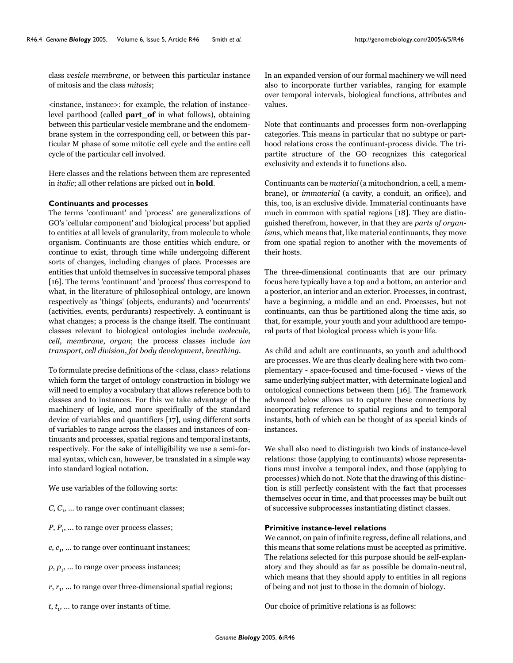class *vesicle membrane*, or between this particular instance of mitosis and the class *mitosis*;

<instance, instance>: for example, the relation of instancelevel parthood (called **part\_of** in what follows), obtaining between this particular vesicle membrane and the endomembrane system in the corresponding cell, or between this particular M phase of some mitotic cell cycle and the entire cell cycle of the particular cell involved.

Here classes and the relations between them are represented in *italic*; all other relations are picked out in **bold**.

# **Continuants and processes**

The terms 'continuant' and 'process' are generalizations of GO's 'cellular component' and 'biological process' but applied to entities at all levels of granularity, from molecule to whole organism. Continuants are those entities which endure, or continue to exist, through time while undergoing different sorts of changes, including changes of place. Processes are entities that unfold themselves in successive temporal phases [16]. The terms 'continuant' and 'process' thus correspond to what, in the literature of philosophical ontology, are known respectively as 'things' (objects, endurants) and 'occurrents' (activities, events, perdurants) respectively. A continuant is what changes; a process is the change itself. The continuant classes relevant to biological ontologies include *molecule*, *cell*, *membrane*, *organ*; the process classes include *ion transport*, *cell division*, *fat body development*, *breathing*.

To formulate precise definitions of the <class, class> relations which form the target of ontology construction in biology we will need to employ a vocabulary that allows reference both to classes and to instances. For this we take advantage of the machinery of logic, and more specifically of the standard device of variables and quantifiers [17], using different sorts of variables to range across the classes and instances of continuants and processes, spatial regions and temporal instants, respectively. For the sake of intelligibility we use a semi-formal syntax, which can, however, be translated in a simple way into standard logical notation.

We use variables of the following sorts:

*C*, *C*, ... to range over continuant classes;

*P*, *P*<sub>1</sub>, ... to range over process classes;

 $c, c<sub>1</sub>, \ldots$  to range over continuant instances;

 $p, p<sub>1</sub>, ...$  to range over process instances;

 $r, r<sub>1</sub>, ...$  to range over three-dimensional spatial regions;

 $t, t<sub>1</sub>, ...$  to range over instants of time.

In an expanded version of our formal machinery we will need also to incorporate further variables, ranging for example over temporal intervals, biological functions, attributes and values.

Note that continuants and processes form non-overlapping categories. This means in particular that no subtype or parthood relations cross the continuant-process divide. The tripartite structure of the GO recognizes this categorical exclusivity and extends it to functions also.

Continuants can be *material* (a mitochondrion, a cell, a membrane), or *immaterial* (a cavity, a conduit, an orifice), and this, too, is an exclusive divide. Immaterial continuants have much in common with spatial regions [18]. They are distinguished therefrom, however, in that they are *parts of organisms*, which means that, like material continuants, they move from one spatial region to another with the movements of their hosts.

The three-dimensional continuants that are our primary focus here typically have a top and a bottom, an anterior and a posterior, an interior and an exterior. Processes, in contrast, have a beginning, a middle and an end. Processes, but not continuants, can thus be partitioned along the time axis, so that, for example, your youth and your adulthood are temporal parts of that biological process which is your life.

As child and adult are continuants, so youth and adulthood are processes. We are thus clearly dealing here with two complementary - space-focused and time-focused - views of the same underlying subject matter, with determinate logical and ontological connections between them [16]. The framework advanced below allows us to capture these connections by incorporating reference to spatial regions and to temporal instants, both of which can be thought of as special kinds of instances.

We shall also need to distinguish two kinds of instance-level relations: those (applying to continuants) whose representations must involve a temporal index, and those (applying to processes) which do not. Note that the drawing of this distinction is still perfectly consistent with the fact that processes themselves occur in time, and that processes may be built out of successive subprocesses instantiating distinct classes.

#### **Primitive instance-level relations**

We cannot, on pain of infinite regress, define all relations, and this means that some relations must be accepted as primitive. The relations selected for this purpose should be self-explanatory and they should as far as possible be domain-neutral, which means that they should apply to entities in all regions of being and not just to those in the domain of biology.

Our choice of primitive relations is as follows: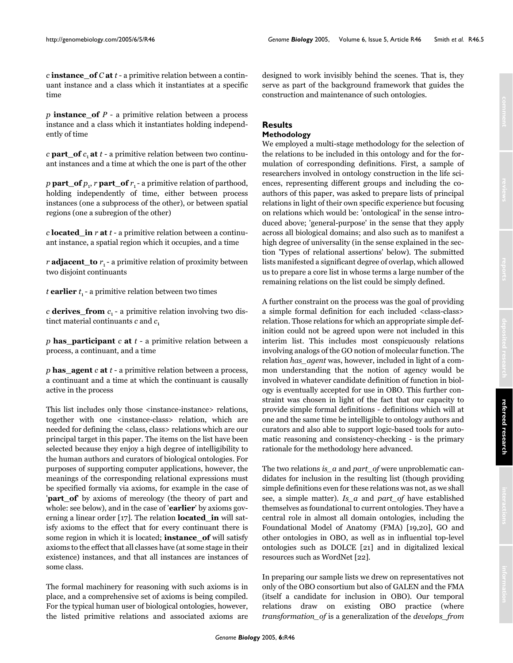*c* **instance\_of** *C* **at** *t* - a primitive relation between a continuant instance and a class which it instantiates at a specific time

*p* **instance\_of** *P* - a primitive relation between a process instance and a class which it instantiates holding independently of time

*c* **part\_of** *c*1 **at** *t* - a primitive relation between two continuant instances and a time at which the one is part of the other

*p* **part\_of**  $p_1$ , *r* **part\_of**  $r_1$  - a primitive relation of parthood, holding independently of time, either between process instances (one a subprocess of the other), or between spatial regions (one a subregion of the other)

*c* **located\_in** *r* **at** *t* - a primitive relation between a continuant instance, a spatial region which it occupies, and a time

 $r$  **adjacent\_to**  $r_1$ - a primitive relation of proximity between two disjoint continuants

*t* **earlier**  $t_1$  - a primitive relation between two times

 $c$  **derives\_from**  $c_1$  - a primitive relation involving two distinct material continuants *c* and *c*<sub>1</sub>

*p* **has\_participant** *c* **at** *t* - a primitive relation between a process, a continuant, and a time

*p* **has\_agent** *c* **at** *t* - a primitive relation between a process, a continuant and a time at which the continuant is causally active in the process

This list includes only those <instance-instance> relations, together with one <instance-class> relation, which are needed for defining the <class, class> relations which are our principal target in this paper. The items on the list have been selected because they enjoy a high degree of intelligibility to the human authors and curators of biological ontologies. For purposes of supporting computer applications, however, the meanings of the corresponding relational expressions must be specified formally via axioms, for example in the case of '**part\_of**' by axioms of mereology (the theory of part and whole: see below), and in the case of '**earlier**' by axioms governing a linear order [17]. The relation **located\_in** will satisfy axioms to the effect that for every continuant there is some region in which it is located; **instance\_of** will satisfy axioms to the effect that all classes have (at some stage in their existence) instances, and that all instances are instances of some class.

The formal machinery for reasoning with such axioms is in place, and a comprehensive set of axioms is being compiled. For the typical human user of biological ontologies, however, the listed primitive relations and associated axioms are designed to work invisibly behind the scenes. That is, they serve as part of the background framework that guides the construction and maintenance of such ontologies.

# **Results Methodology**

We employed a multi-stage methodology for the selection of the relations to be included in this ontology and for the formulation of corresponding definitions. First, a sample of researchers involved in ontology construction in the life sciences, representing different groups and including the coauthors of this paper, was asked to prepare lists of principal relations in light of their own specific experience but focusing on relations which would be: 'ontological' in the sense introduced above; 'general-purpose' in the sense that they apply across all biological domains; and also such as to manifest a high degree of universality (in the sense explained in the section 'Types of relational assertions' below). The submitted lists manifested a significant degree of overlap, which allowed us to prepare a core list in whose terms a large number of the remaining relations on the list could be simply defined.

A further constraint on the process was the goal of providing a simple formal definition for each included <class-class> relation. Those relations for which an appropriate simple definition could not be agreed upon were not included in this interim list. This includes most conspicuously relations involving analogs of the GO notion of molecular function. The relation *has\_agent* was, however, included in light of a common understanding that the notion of agency would be involved in whatever candidate definition of function in biology is eventually accepted for use in OBO. This further constraint was chosen in light of the fact that our capacity to provide simple formal definitions - definitions which will at one and the same time be intelligible to ontology authors and curators and also able to support logic-based tools for automatic reasoning and consistency-checking - is the primary rationale for the methodology here advanced.

The two relations *is\_a* and *part\_of* were unproblematic candidates for inclusion in the resulting list (though providing simple definitions even for these relations was not, as we shall see, a simple matter). *Is\_a* and *part\_of* have established themselves as foundational to current ontologies. They have a central role in almost all domain ontologies, including the Foundational Model of Anatomy (FMA) [19,20], GO and other ontologies in OBO, as well as in influential top-level ontologies such as DOLCE [21] and in digitalized lexical resources such as WordNet [22].

In preparing our sample lists we drew on representatives not only of the OBO consortium but also of GALEN and the FMA (itself a candidate for inclusion in OBO). Our temporal relations draw on existing OBO practice (where *transformation\_of* is a generalization of the *develops\_from*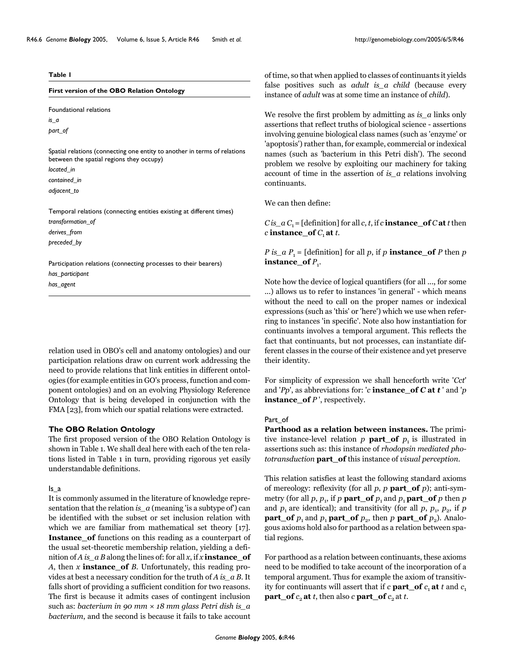#### <span id="page-5-0"></span>**Table 1**

#### **First version of the OBO Relation Ontology**

Foundational relations

*is\_a*

*part\_of*

Spatial relations (connecting one entity to another in terms of relations between the spatial regions they occupy)

*located\_in contained\_in*

*adjacent\_to*

Temporal relations (connecting entities existing at different times) *transformation\_of derives\_from preceded\_by*

Participation relations (connecting processes to their bearers) *has\_participant has\_agent*

relation used in OBO's cell and anatomy ontologies) and our participation relations draw on current work addressing the need to provide relations that link entities in different ontologies (for example entities in GO's process, function and component ontologies) and on an evolving Physiology Reference Ontology that is being developed in conjunction with the FMA [23], from which our spatial relations were extracted.

#### **The OBO Relation Ontology**

The first proposed version of the OBO Relation Ontology is shown in Table [1.](#page-5-0) We shall deal here with each of the ten relations listed in Table [1](#page-5-0) in turn, providing rigorous yet easily understandable definitions.

# Is\_a

It is commonly assumed in the literature of knowledge representation that the relation *is\_a* (meaning 'is a subtype of') can be identified with the subset or set inclusion relation with which we are familiar from mathematical set theory [17]. **Instance\_of** functions on this reading as a counterpart of the usual set-theoretic membership relation, yielding a definition of *A is\_a B* along the lines of: for all *x*, if *x* **instance\_of** *A*, then *x* **instance\_of** *B*. Unfortunately, this reading provides at best a necessary condition for the truth of *A is\_a B*. It falls short of providing a sufficient condition for two reasons. The first is because it admits cases of contingent inclusion such as: *bacterium in 90 mm × 18 mm glass Petri dish is\_a bacterium*, and the second is because it fails to take account of time, so that when applied to classes of continuants it yields false positives such as *adult is\_a child* (because every instance of *adult* was at some time an instance of *child*).

We resolve the first problem by admitting as *is\_a* links only assertions that reflect truths of biological science - assertions involving genuine biological class names (such as 'enzyme' or 'apoptosis') rather than, for example, commercial or indexical names (such as 'bacterium in this Petri dish'). The second problem we resolve by exploiting our machinery for taking account of time in the assertion of *is\_a* relations involving continuants.

We can then define:

 $C$  *is*<sub> $a$ </sub>  $C_1$  = [definition] for all *c*, *t*, if *c* **instance** of *C* at *t* then *c* **instance\_of**  $C<sub>1</sub>$  **at** *t*.

*P* is  $a P_1 =$  [definition] for all *p*, if *p* **instance** of *P* then *p* **instance\_of**  $P_1$ .

Note how the device of logical quantifiers (for all ..., for some ...) allows us to refer to instances 'in general' - which means without the need to call on the proper names or indexical expressions (such as 'this' or 'here') which we use when referring to instances 'in specific'. Note also how instantiation for continuants involves a temporal argument. This reflects the fact that continuants, but not processes, can instantiate different classes in the course of their existence and yet preserve their identity.

For simplicity of expression we shall henceforth write '*Cct*' and '*Pp*', as abbreviations for: '*c* **instance\_of** *C* **at** *t* ' and '*p* **instance\_of** *P* ', respectively.

# Part\_of

**Parthood as a relation between instances.** The primitive instance-level relation  $p$  **part\_of**  $p<sub>1</sub>$  is illustrated in assertions such as: this instance of *rhodopsin mediated phototransduction* **part\_of** this instance of *visual perception*.

This relation satisfies at least the following standard axioms of mereology: reflexivity (for all *p*, *p* **part\_of** *p*); anti-symmetry (for all  $p$ ,  $p_1$ , if  $p$  **part\_of**  $p_1$  and  $p_1$  **part\_of**  $p$  then  $p$ and  $p_1$  are identical); and transitivity (for all  $p$ ,  $p_1$ ,  $p_2$ , if  $p$ **part\_of**  $p_1$  and  $p_1$  **part\_of**  $p_2$ , then  $p$  **part\_of**  $p_2$ ). Analogous axioms hold also for parthood as a relation between spatial regions.

For parthood as a relation between continuants, these axioms need to be modified to take account of the incorporation of a temporal argument. Thus for example the axiom of transitivity for continuants will assert that if  $c$  **part\_of**  $c_1$  **at**  $t$  and  $c_1$ **part\_of**  $c_2$  **at**  $t$ , then also  $c$  **part\_of**  $c_2$  at  $t$ .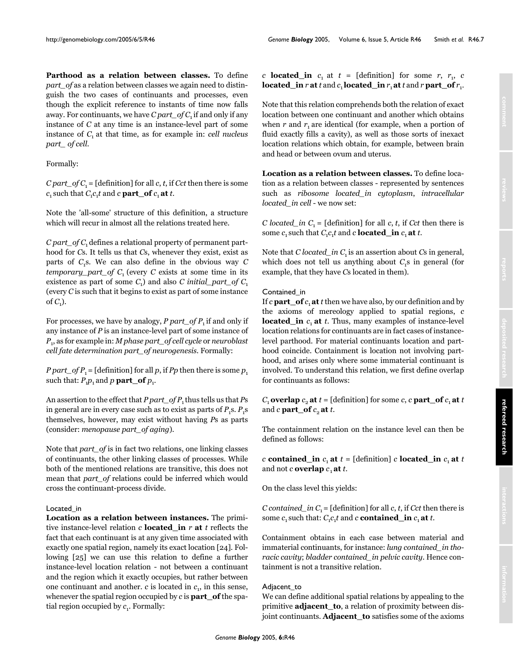**Parthood as a relation between classes.** To define *part\_of* as a relation between classes we again need to distinguish the two cases of continuants and processes, even though the explicit reference to instants of time now falls away. For continuants, we have *C part\_of C*1 if and only if any instance of *C* at any time is an instance-level part of some instance of  $C<sub>1</sub>$  at that time, as for example in: *cell nucleus part\_ of cell*.

Formally:

*C part\_of C*<sub>1</sub> = [definition] for all *c*, *t*, if *Cct* then there is some *c*<sub>1</sub> such that  $C_1c_1t$  and  $c$  **part\_of**  $c_1$  **at**  $t$ .

Note the 'all-some' structure of this definition, a structure which will recur in almost all the relations treated here.

*C part\_of C*1 defines a relational property of permanent parthood for *C*s. It tells us that *C*s, whenever they exist, exist as parts of  $C_1$ s. We can also define in the obvious way  $C$ *temporary\_part\_of C*<sub>1</sub> (every *C* exists at some time in its existence as part of some  $C_1$ ) and also *C* initial\_part\_of  $C_1$ (every *C* is such that it begins to exist as part of some instance of  $C_1$ ).

For processes, we have by analogy, *P part\_of P*<sub>1</sub> if and only if any instance of *P* is an instance-level part of some instance of *P*1, as for example in: *M phase part\_of cell cycle* or *neuroblast cell fate determination part\_of neurogenesis*. Formally:

*P* part\_of  $P_1$  = [definition] for all p, if Pp then there is some  $p_1$ such that:  $P_1p_1$  and  $p$  **part\_of**  $p_1$ .

An assertion to the effect that *P part\_of P*<sub>1</sub> thus tells us that *Ps* in general are in every case such as to exist as parts of  $P_1$ s.  $P_1$ s themselves, however, may exist without having *P*s as parts (consider: *menopause part\_of aging*).

Note that *part\_of* is in fact two relations, one linking classes of continuants, the other linking classes of processes. While both of the mentioned relations are transitive, this does not mean that *part\_of* relations could be inferred which would cross the continuant-process divide.

#### Located\_in

**Location as a relation between instances.** The primitive instance-level relation *c* **located\_in** *r* **at** *t* reflects the fact that each continuant is at any given time associated with exactly one spatial region, namely its exact location [24]. Following [25] we can use this relation to define a further instance-level location relation - not between a continuant and the region which it exactly occupies, but rather between one continuant and another.  $c$  is located in  $c<sub>1</sub>$ , in this sense, whenever the spatial region occupied by *c* is **part\_of** the spatial region occupied by  $c_1$ . Formally:

*c* **located\_in**  $c_1$  at  $t =$  [definition] for some  $r, r_1, c$ **located\_in**  $r$  **at**  $t$  and  $c_1$  **located\_in**  $r_1$  **at**  $t$  and  $r$  **part\_of**  $r_1$ .

Note that this relation comprehends both the relation of exact location between one continuant and another which obtains when  $r$  and  $r_1$  are identical (for example, when a portion of fluid exactly fills a cavity), as well as those sorts of inexact location relations which obtain, for example, between brain and head or between ovum and uterus.

**Location as a relation between classes.** To define location as a relation between classes - represented by sentences such as *ribosome located\_in cytoplasm*, *intracellular located\_in cell* - we now set:

*C* located\_in  $C_1$  = [definition] for all *c*, *t*, if *Cct* then there is some  $c_1$  such that  $C_1c_1t$  and  $c$  **located** in  $c_1$  at  $t$ .

Note that *C located\_in C*1 is an assertion about *C*s in general, which does not tell us anything about  $C_1$ s in general (for example, that they have *C*s located in them).

#### Contained\_in

If  $c$  **part\_of**  $c_1$  at  $t$  then we have also, by our definition and by the axioms of mereology applied to spatial regions, *c* **located\_in**  $c_1$  **at**  $t$ . Thus, many examples of instance-level location relations for continuants are in fact cases of instancelevel parthood. For material continuants location and parthood coincide. Containment is location not involving parthood, and arises only where some immaterial continuant is involved. To understand this relation, we first define overlap for continuants as follows:

*C*<sub>1</sub> **overlap**  $c_2$  **at**  $t =$  [definition] for some  $c$ ,  $c$  **part\_of**  $c_1$  **at**  $t$ and  $c$  **part\_of**  $c_2$  **at**  $t$ .

The containment relation on the instance level can then be defined as follows:

*c* **contained\_in**  $c_1$  **at**  $t =$  [definition]  $c$  **located\_in**  $c_1$  **at**  $t$ and not *c* **overlap**  $c_1$  **at** *t*.

On the class level this yields:

*C* contained\_in  $C_1$  = [definition] for all *c*, *t*, if *Cct* then there is some  $c_1$  such that:  $C_1c_1t$  and  $c$  **contained\_in**  $c_1$  **at**  $t$ .

Containment obtains in each case between material and immaterial continuants, for instance: *lung contained\_in thoracic cavity*; *bladder contained\_in pelvic cavity*. Hence containment is not a transitive relation.

#### Adjacent\_to

We can define additional spatial relations by appealing to the primitive **adjacent\_to**, a relation of proximity between disjoint continuants. **Adjacent\_to** satisfies some of the axioms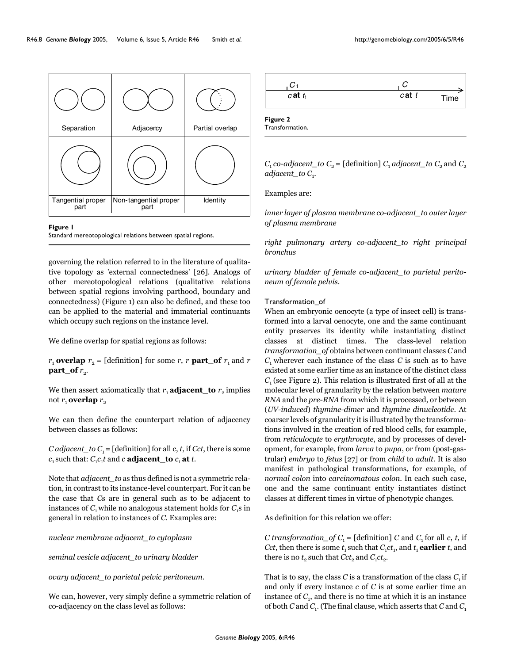| Separation                | Adjacercy                     |          |
|---------------------------|-------------------------------|----------|
|                           |                               |          |
| Tangential proper<br>part | Non-tangential proper<br>part | Identity |

#### Figure 1

Standard mereotopological relations between spatial regions.

governing the relation referred to in the literature of qualitative topology as 'external connectedness' [26]. Analogs of other mereotopological relations (qualitative relations between spatial regions involving parthood, boundary and connectedness) (Figure 1) can also be defined, and these too can be applied to the material and immaterial continuants which occupy such regions on the instance level.

We define overlap for spatial regions as follows:

 $r_1$  **overlap**  $r_2$  = [definition] for some *r*, *r* **part\_of**  $r_1$  and *r* **part\_of**  $r_2$ .

We then assert axiomatically that  $r_1$  **adjacent\_to**  $r_2$  implies not  $r_1$ **overlap**  $r_2$ 

We can then define the counterpart relation of adjacency between classes as follows:

*C* adjacent to  $C_1$  = [definition] for all *c*, *t*, if *Cct*, there is some  $c_1$  such that:  $C_1c_1t$  and  $c$  **adjacent** to  $c_1$  at  $t$ .

Note that *adjacent\_to* as thus defined is not a symmetric relation, in contrast to its instance-level counterpart. For it can be the case that *C*s are in general such as to be adjacent to instances of  $C$ , while no analogous statement holds for  $C_1$ s in general in relation to instances of *C*. Examples are:

*nuclear membrane adjacent\_to cytoplasm*

*seminal vesicle adjacent\_to urinary bladder*

*ovary adjacent\_to parietal pelvic peritoneum*.

We can, however, very simply define a symmetric relation of co-adjacency on the class level as follows:

| $c$ at $t_1$ | $c$ at $t$ | Time |
|--------------|------------|------|

Figure 2

Transformation.

*C*<sub>1</sub> *co-adjacent\_to C*<sub>2</sub> = [definition] *C*<sub>1</sub> *adjacent\_to C*<sub>2</sub> and *C*<sub>2</sub> *adjacent\_to*  $C_1$ *.* 

Examples are:

*inner layer of plasma membrane co-adjacent\_to outer layer of plasma membrane*

*right pulmonary artery co-adjacent\_to right principal bronchus*

*urinary bladder of female co-adjacent\_to parietal peritoneum of female pelvis*.

#### Transformation\_of

When an embryonic oenocyte (a type of insect cell) is transformed into a larval oenocyte, one and the same continuant entity preserves its identity while instantiating distinct classes at distinct times. The class-level relation *transformation\_of* obtains between continuant classes *C* and  $C_1$  wherever each instance of the class  $C$  is such as to have existed at some earlier time as an instance of the distinct class *C*1 (see Figure 2). This relation is illustrated first of all at the molecular level of granularity by the relation between *mature RNA* and the *pre-RNA* from which it is processed, or between (*UV-induced*) *thymine-dimer* and *thymine dinucleotide*. At coarser levels of granularity it is illustrated by the transformations involved in the creation of red blood cells, for example, from *reticulocyte* to *erythrocyte*, and by processes of development, for example, from *larva* to *pupa*, or from (post-gastrular) *embryo* to *fetus* [27] or from *child* to *adult*. It is also manifest in pathological transformations, for example, of *normal colon* into *carcinomatous colon*. In each such case, one and the same continuant entity instantiates distinct classes at different times in virtue of phenotypic changes.

As definition for this relation we offer:

*C* transformation\_of  $C_1$  = [definition] *C* and  $C_1$  for all *c*, *t*, if *Cct*, then there is some  $t_1$  such that  $C_1ct_1$ , and  $t_1$  **earlier**  $t$ , and there is no  $t_2$  such that  $Cct_2$  and  $C_1ct_2$ .

That is to say, the class *C* is a transformation of the class  $C<sub>1</sub>$  if and only if every instance *c* of *C* is at some earlier time an instance of  $C_1$ , and there is no time at which it is an instance of both *C* and *C*1. (The final clause, which asserts that *C* and *C*<sup>1</sup>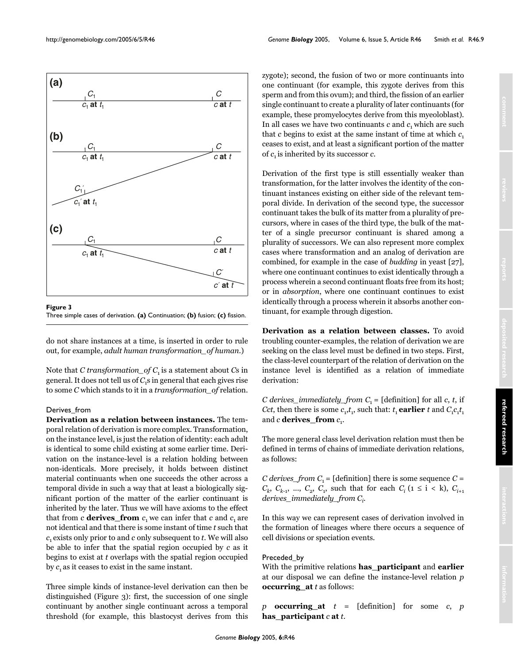

#### **Figure 3**

Three simple cases of derivation. **(a)** Continuation; **(b)** fusion; **(c)** fission.

do not share instances at a time, is inserted in order to rule out, for example, *adult human transformation\_of human*.)

Note that *C transformation\_of C*1 is a statement about *C*s in general. It does not tell us of  $C_1$ s in general that each gives rise to some *C* which stands to it in a *transformation\_of* relation.

# Derives\_from

**Derivation as a relation between instances.** The temporal relation of derivation is more complex. Transformation, on the instance level, is just the relation of identity: each adult is identical to some child existing at some earlier time. Derivation on the instance-level is a relation holding between non-identicals. More precisely, it holds between distinct material continuants when one succeeds the other across a temporal divide in such a way that at least a biologically significant portion of the matter of the earlier continuant is inherited by the later. Thus we will have axioms to the effect that from  $c$  **derives\_from**  $c_1$  we can infer that  $c$  and  $c_1$  are not identical and that there is some instant of time *t* such that *c*1 exists only prior to and *c* only subsequent to *t*. We will also be able to infer that the spatial region occupied by *c* as it begins to exist at *t* overlaps with the spatial region occupied by  $c_1$  as it ceases to exist in the same instant.

Three simple kinds of instance-level derivation can then be distinguished (Figure 3): first, the succession of one single continuant by another single continuant across a temporal threshold (for example, this blastocyst derives from this zygote); second, the fusion of two or more continuants into one continuant (for example, this zygote derives from this sperm and from this ovum); and third, the fission of an earlier single continuant to create a plurality of later continuants (for example, these promyelocytes derive from this myeoloblast). In all cases we have two continuants  $c$  and  $c<sub>1</sub>$  which are such that *c* begins to exist at the same instant of time at which *c*<sup>1</sup> ceases to exist, and at least a significant portion of the matter of  $c_1$  is inherited by its successor  $c$ .

Derivation of the first type is still essentially weaker than transformation, for the latter involves the identity of the continuant instances existing on either side of the relevant temporal divide. In derivation of the second type, the successor continuant takes the bulk of its matter from a plurality of precursors, where in cases of the third type, the bulk of the matter of a single precursor continuant is shared among a plurality of successors. We can also represent more complex cases where transformation and an analog of derivation are combined, for example in the case of *budding* in yeast [27], where one continuant continues to exist identically through a process wherein a second continuant floats free from its host; or in *absorption*, where one continuant continues to exist identically through a process wherein it absorbs another continuant, for example through digestion.

**Derivation as a relation between classes.** To avoid troubling counter-examples, the relation of derivation we are seeking on the class level must be defined in two steps. First, the class-level counterpart of the relation of derivation on the instance level is identified as a relation of immediate derivation:

*C* derives\_immediately\_from  $C_1$  = [definition] for all *c*, *t*, if *Cct*, then there is some  $c_1, t_1$ , such that:  $t_1$  **earlier**  $t$  and  $C_1c_1t_1$ and *c* **derives\_from** *c*<sub>1</sub>.

The more general class level derivation relation must then be defined in terms of chains of immediate derivation relations, as follows:

*C* derives\_from  $C_1$  = [definition] there is some sequence  $C =$  $C_k$ ,  $C_{k-1}$ , ...,  $C_2$ ,  $C_1$ , such that for each  $C_i$  (1 ≤ i < k),  $C_{i+1}$ *derives\_immediately\_from Ci* .

In this way we can represent cases of derivation involved in the formation of lineages where there occurs a sequence of cell divisions or speciation events.

### Preceded\_by

With the primitive relations **has\_participant** and **earlier** at our disposal we can define the instance-level relation *p* **occurring\_at** *t* as follows:

*p* **occurring\_at** *t* = [definition] for some *c*, *p* **has\_participant** *c* **at** *t*.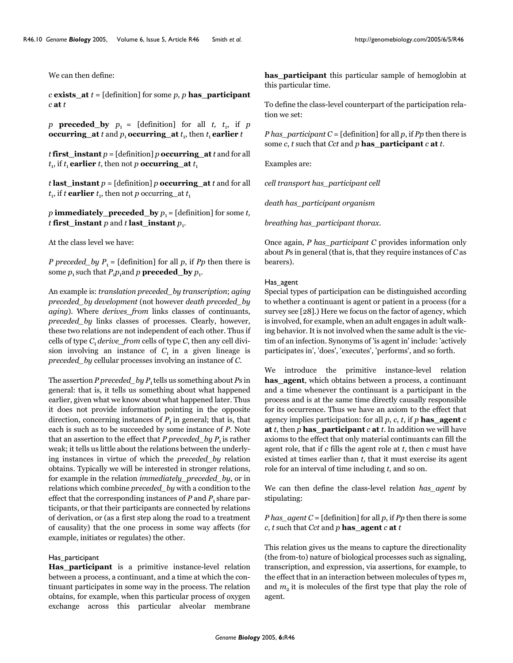We can then define:

*c* **exists** at  $t =$  [definition] for some *p*, *p* **has** participant *c* **at** *t*

*p* **preceded\_by**  $p_1 =$  [definition] for all *t, t<sub>1</sub>, if p* **occurring\_at** *t* and  $p_1$  **occurring\_at**  $t_1$ , then  $t_1$  **earlier**  $t_1$ 

*t* **first\_instant**  $p = [\text{definition}] p$  **occurring\_at** *t* and for all  $t_1$ , if  $t_1$  **earlier**  $t_2$ , then not  $p$  **occurring at**  $t_1$ 

*t* **last\_instant**  $p = [\text{definition}] p$  **occurring\_at** *t* and for all  $t_1$ , if *t* **earlier**  $t_1$ , then not *p* occurring at  $t_1$ 

*p* **immediately\_preceded\_by**  $p_1 = [\text{definition}]$  for some *t*, *t* **first** instant *p* and *t* **last** instant  $p_1$ .

At the class level we have:

*P* preceded\_by  $P_1 = [\text{definition}]$  for all p, if Pp then there is some  $p_1$  such that  $P_1p_1$  and  $p$  **preceded\_by**  $p_1$ .

An example is: *translation preceded\_by transcription*; *aging preceded\_by development* (not however *death preceded\_by aging*). Where *derives\_from* links classes of continuants, *preceded\_by* links classes of processes. Clearly, however, these two relations are not independent of each other. Thus if cells of type  $C_1$  *derive\_from* cells of type  $C$ , then any cell division involving an instance of  $C_1$  in a given lineage is *preceded\_by* cellular processes involving an instance of *C*.

The assertion *P preceded\_by P*1 tells us something about *P*s in general: that is, it tells us something about what happened earlier, given what we know about what happened later. Thus it does not provide information pointing in the opposite direction, concerning instances of  $P_1$  in general; that is, that each is such as to be succeeded by some instance of *P*. Note that an assertion to the effect that *P preceded\_by P*<sub>1</sub> is rather weak; it tells us little about the relations between the underlying instances in virtue of which the *preceded\_by* relation obtains. Typically we will be interested in stronger relations, for example in the relation *immediately\_preceded\_by*, or in relations which combine *preceded\_by* with a condition to the effect that the corresponding instances of *P* and *P*<sub>1</sub> share participants, or that their participants are connected by relations of derivation, or (as a first step along the road to a treatment of causality) that the one process in some way affects (for example, initiates or regulates) the other.

#### Has\_participant

**Has\_participant** is a primitive instance-level relation between a process, a continuant, and a time at which the continuant participates in some way in the process. The relation obtains, for example, when this particular process of oxygen exchange across this particular alveolar membrane

**has participant** this particular sample of hemoglobin at this particular time.

To define the class-level counterpart of the participation relation we set:

*P has\_participant C* = [definition] for all *p*, if *Pp* then there is some *c*, *t* such that *Cct* and *p* **has\_participant** *c* **at** *t*.

Examples are:

*cell transport has\_participant cell*

*death has\_participant organism*

*breathing has\_participant thorax*.

Once again, *P has\_participant C* provides information only about *P*s in general (that is, that they require instances of *C* as bearers).

#### Has\_agent

Special types of participation can be distinguished according to whether a continuant is agent or patient in a process (for a survey see [28].) Here we focus on the factor of agency, which is involved, for example, when an adult engages in adult walking behavior. It is not involved when the same adult is the victim of an infection. Synonyms of 'is agent in' include: 'actively participates in', 'does', 'executes', 'performs', and so forth.

We introduce the primitive instance-level relation **has\_agent**, which obtains between a process, a continuant and a time whenever the continuant is a participant in the process and is at the same time directly causally responsible for its occurrence. Thus we have an axiom to the effect that agency implies participation: for all *p*, *c*, *t*, if *p* **has\_agent** *c* **at** *t*, then *p* **has\_participant** *c* **at** *t*. In addition we will have axioms to the effect that only material continuants can fill the agent role, that if *c* fills the agent role at *t*, then *c* must have existed at times earlier than *t,* that it must exercise its agent role for an interval of time including *t*, and so on.

We can then define the class-level relation *has\_agent* by stipulating:

*P has\_agent C* = [definition] for all *p*, if *Pp* then there is some *c*, *t* such that *Cct* and *p* **has\_agent** *c* **at** *t*

This relation gives us the means to capture the directionality (the from-to) nature of biological processes such as signaling, transcription, and expression, via assertions, for example, to the effect that in an interaction between molecules of types  $m_1$ and  $m<sub>2</sub>$  it is molecules of the first type that play the role of agent.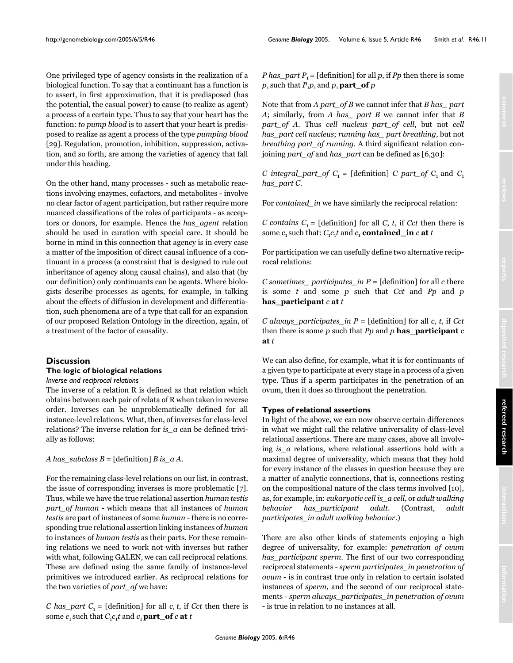One privileged type of agency consists in the realization of a biological function. To say that a continuant has a function is to assert, in first approximation, that it is predisposed (has the potential, the casual power) to cause (to realize as agent) a process of a certain type. Thus to say that your heart has the function: *to pump blood* is to assert that your heart is predisposed to realize as agent a process of the type *pumping blood* [29]. Regulation, promotion, inhibition, suppression, activation, and so forth, are among the varieties of agency that fall under this heading.

On the other hand, many processes - such as metabolic reactions involving enzymes, cofactors, and metabolites - involve no clear factor of agent participation, but rather require more nuanced classifications of the roles of participants - as acceptors or donors, for example. Hence the *has\_agent* relation should be used in curation with special care. It should be borne in mind in this connection that agency is in every case a matter of the imposition of direct causal influence of a continuant in a process (a constraint that is designed to rule out inheritance of agency along causal chains), and also that (by our definition) only continuants can be agents. Where biologists describe processes as agents, for example, in talking about the effects of diffusion in development and differentiation, such phenomena are of a type that call for an expansion of our proposed Relation Ontology in the direction, again, of a treatment of the factor of causality.

# **Discussion The logic of biological relations**

*Inverse and reciprocal relations*

The inverse of a relation R is defined as that relation which obtains between each pair of relata of R when taken in reverse order. Inverses can be unproblematically defined for all instance-level relations. What, then, of inverses for class-level relations? The inverse relation for *is\_a* can be defined trivially as follows:

*A has\_subclass B* = [definition] *B is\_a A*.

For the remaining class-level relations on our list, in contrast, the issue of corresponding inverses is more problematic [7]. Thus, while we have the true relational assertion *human testis part\_of human* - which means that all instances of *human testis* are part of instances of some *human* - there is no corresponding true relational assertion linking instances of *human* to instances of *human testis* as their parts. For these remaining relations we need to work not with inverses but rather with what, following GALEN, we can call reciprocal relations. These are defined using the same family of instance-level primitives we introduced earlier. As reciprocal relations for the two varieties of *part\_of* we have:

*C* has part  $C_1$  = [definition] for all *c*, *t*, if *Cct* then there is some  $c_1$  such that  $C_1c_1t$  and  $c_1$  **part\_of**  $c$  **at**  $t$ 

*P* has *part*  $P_1$  = [definition] for all *p*, if *Pp* then there is some  $p_1$  such that  $P_1p_1$  and  $p_1$  **part\_of**  $p$ 

Note that from *A part\_of B* we cannot infer that *B has\_ part A*; similarly, from *A has\_ part B* we cannot infer that *B part\_of A*. Thus *cell nucleus part\_of cell*, but not *cell has\_part cell nucleus*; *running has\_ part breathing*, but not *breathing part\_of running*. A third significant relation conjoining *part\_of* and *has\_part* can be defined as [6,30]:

*C* integral\_part\_of  $C_1$  = [definition] *C* part\_of  $C_1$  and  $C_1$ *has\_part C*.

For *contained\_in* we have similarly the reciprocal relation:

*C* contains  $C_1$  = [definition] for all *C*, *t*, if *Cct* then there is some  $c_1$  such that:  $C_1c_1t$  and  $c_1$  **contained\_in**  $c$  **at**  $t$ 

For participation we can usefully define two alternative reciprocal relations:

*C sometimes\_ participates\_in P* = [definition] for all *c* there is some *t* and some *p* such that *Cct* and *Pp* and *p* **has\_participant** *c* **at** *t*

*C always\_participates\_in P* = [definition] for all *c*, *t*, if *Cct* then there is some *p* such that *Pp* and *p* **has\_participant** *c* **at** *t*

We can also define, for example, what it is for continuants of a given type to participate at every stage in a process of a given type. Thus if a sperm participates in the penetration of an ovum, then it does so throughout the penetration.

#### **Types of relational assertions**

In light of the above, we can now observe certain differences in what we might call the relative universality of class-level relational assertions. There are many cases, above all involving *is* a relations, where relational assertions hold with a maximal degree of universality, which means that they hold for every instance of the classes in question because they are a matter of analytic connections, that is, connections resting on the compositional nature of the class terms involved [10], as, for example, in: *eukaryotic cell is\_a cell*, or *adult walking behavior has\_participant adult*. (Contrast, *adult participates\_in adult walking behavior*.)

There are also other kinds of statements enjoying a high degree of universality, for example: *penetration of ovum has\_participant sperm*. The first of our two corresponding reciprocal statements - *sperm participates\_in penetration of ovum* - is in contrast true only in relation to certain isolated instances of *sperm*, and the second of our reciprocal statements - *sperm always\_participates\_in penetration of ovum* - is true in relation to no instances at all.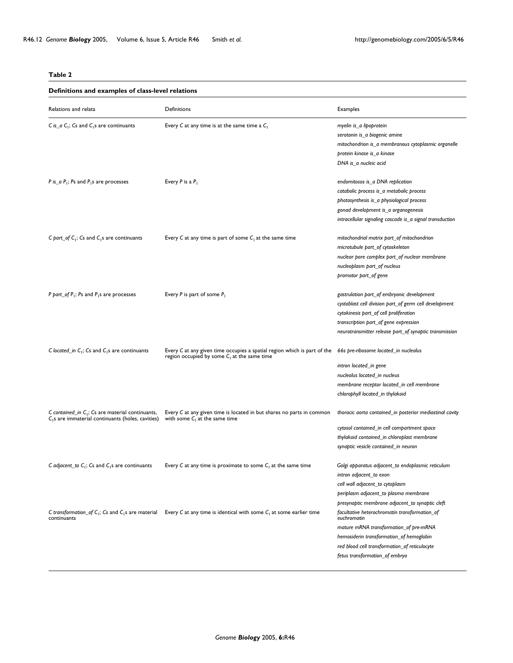#### <span id="page-11-0"></span>**Table 2**

# **Definitions and examples of class-level relations**

| Relations and relata                                                                                                                         | Definitions                                                                                                                                              | <b>Examples</b>                                                                                                                                                                                                                                   |
|----------------------------------------------------------------------------------------------------------------------------------------------|----------------------------------------------------------------------------------------------------------------------------------------------------------|---------------------------------------------------------------------------------------------------------------------------------------------------------------------------------------------------------------------------------------------------|
| C is_a $C_1$ ; Cs and $C_1$ s are continuants                                                                                                | Every C at any time is at the same time a $C_1$                                                                                                          | myelin is_a lipoprotein<br>serotonin is_a biogenic amine<br>mitochondrion is_a membranous cytoplasmic organelle<br>protein kinase is_a kinase<br>DNA is_a nucleic acid                                                                            |
| P is $a$ P <sub>1</sub> ; Ps and P <sub>1</sub> s are processes                                                                              | Every P is a $P_1$                                                                                                                                       | endomitosos is_a DNA replication<br>catabolic process is_a metabolic process<br>photosynthesis is_a physiological process<br>gonad development is_a organogenesis<br>intracellular signaling cascade is_a signal transduction                     |
| C part_of $C_1$ ; Cs and $C_1$ s are continuants                                                                                             | Every C at any time is part of some $C_1$ at the same time                                                                                               | mitochondrial matrix part_of mitochondrion<br>microtubule part_of cytoskeleton<br>nuclear pore complex part_of nuclear membrane<br>nucleoplasm part_of nucleus<br>promotor part_of gene                                                           |
| P part_of $P_1$ ; Ps and $P_1$ s are processes                                                                                               | Every P is part of some $P_1$                                                                                                                            | gastrulation part_of embryonic development<br>cystoblast cell division part_of germ cell development<br>cytokinesis part_of cell proliferation<br>transcription part_of gene expression<br>neurotransmitter release part_of synaptic transmission |
| C located_in $C_1$ ; Cs and $C_1$ s are continuants                                                                                          | Every C at any given time occupies a spatial region which is part of the<br>region occupied by some $C_1$ at the same time                               | 66s pre-ribosome located_in nucleolus<br>intron located_in gene<br>nucleolus located_in nucleus<br>membrane receptor located_in cell membrane<br>chlorophyll located_in thylakoid                                                                 |
| C contained_in $C_1$ ; Cs are material continuants,<br>$C_1$ s are immaterial continuants (holes, cavities) with some $C_1$ at the same time | Every C at any given time is located in but shares no parts in common                                                                                    | thoracic aorta contained_in posterior mediastinal cavity<br>cytosol contained_in cell compartment space<br>thylakoid contained_in chloroplast membrane<br>synaptic vesicle contained_in neuron                                                    |
| C adjacent_to $C_1$ ; Cs and $C_1$ s are continuants                                                                                         | Every C at any time is proximate to some $C_1$ at the same time                                                                                          | Golgi apparatus adjacent_to endoplasmic reticulum<br>intron adjacent_to exon<br>cell wall adjacent_to cytoplasm<br>periplasm adjacent_to plasma membrane<br>presynaptic membrane adjacent_to synaptic cleft                                       |
| continuants                                                                                                                                  | C transformation_of C <sub>1</sub> ; Cs and C <sub>1</sub> s are material Every C at any time is identical with some C <sub>1</sub> at some earlier time | facultative heterochromatin transformation_of<br>euchromatin<br>mature mRNA transformation_of pre-mRNA<br>hemosiderin transformation_of hemoglobin<br>red blood cell transformation_of reticulocyte<br>fetus transformation_of embryo             |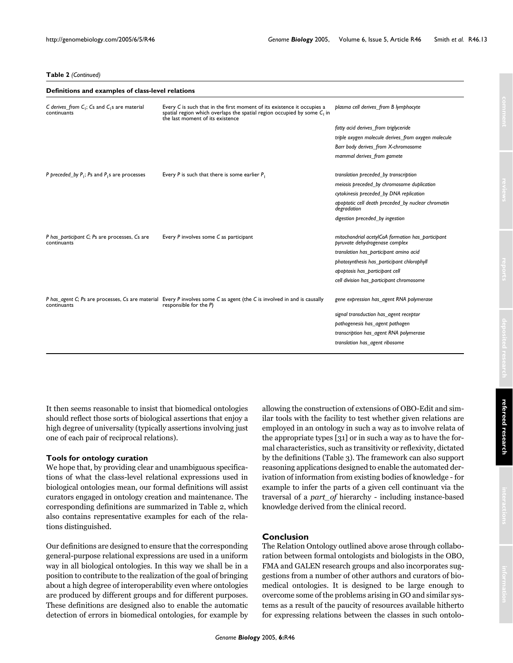#### **Table 2** *(Continued)*

| Definitions and examples of class-level relations |  |  |  |
|---------------------------------------------------|--|--|--|
|---------------------------------------------------|--|--|--|

| C derives_from $C_1$ ; Cs and $C_1$ s are material<br>continuants | Every C is such that in the first moment of its existence it occupies a<br>spatial region which overlaps the spatial region occupied by some $C1$ in<br>the last moment of its existence | plasma cell derives from B lymphocyte                                               |
|-------------------------------------------------------------------|------------------------------------------------------------------------------------------------------------------------------------------------------------------------------------------|-------------------------------------------------------------------------------------|
|                                                                   |                                                                                                                                                                                          | fatty acid derives_from triglyceride                                                |
|                                                                   |                                                                                                                                                                                          | triple oxygen molecule derives_from oxygen molecule                                 |
|                                                                   |                                                                                                                                                                                          | Barr body derives_from X-chromosome                                                 |
|                                                                   |                                                                                                                                                                                          | mammal derives_from gamete                                                          |
| P preceded by $P_1$ ; Ps and $P_1$ s are processes                | Every P is such that there is some earlier $P_1$                                                                                                                                         | translation preceded by transcription                                               |
|                                                                   |                                                                                                                                                                                          | meiosis preceded_by chromosome duplication                                          |
|                                                                   |                                                                                                                                                                                          | cytokinesis preceded_by DNA replication                                             |
|                                                                   |                                                                                                                                                                                          | apoptotic cell death preceded_by nuclear chromatin<br>degradation                   |
|                                                                   |                                                                                                                                                                                          | digestion preceded_by ingestion                                                     |
|                                                                   |                                                                                                                                                                                          |                                                                                     |
| P has_participant C; Ps are processes, Cs are<br>continuants      | Every P involves some C as participant                                                                                                                                                   | mitochondrial acetylCoA formation has_participant<br>pyruvate dehydrogenase complex |
|                                                                   |                                                                                                                                                                                          | translation has_participant amino acid                                              |
|                                                                   |                                                                                                                                                                                          | photosynthesis has_participant chlorophyll                                          |
|                                                                   |                                                                                                                                                                                          | apoptosis has_participant cell                                                      |
|                                                                   |                                                                                                                                                                                          | cell division has_participant chromosome                                            |
| continuants                                                       | P has_agent C; Ps are processes, Cs are material Every P involves some C as agent (the C is involved in and is causally<br>responsible for the P)                                        | gene expression has_agent RNA polymerase                                            |
|                                                                   |                                                                                                                                                                                          | signal transduction has_agent receptor                                              |
|                                                                   |                                                                                                                                                                                          | pathogenesis has_agent pathogen                                                     |
|                                                                   |                                                                                                                                                                                          | transcription has_agent RNA polymerase                                              |
|                                                                   |                                                                                                                                                                                          | translation has_agent ribosome                                                      |
|                                                                   |                                                                                                                                                                                          |                                                                                     |

It then seems reasonable to insist that biomedical ontologies should reflect those sorts of biological assertions that enjoy a high degree of universality (typically assertions involving just one of each pair of reciprocal relations).

# **Tools for ontology curation**

We hope that, by providing clear and unambiguous specifications of what the class-level relational expressions used in biological ontologies mean, our formal definitions will assist curators engaged in ontology creation and maintenance. The corresponding definitions are summarized in Table [2](#page-11-0), which also contains representative examples for each of the relations distinguished.

Our definitions are designed to ensure that the corresponding general-purpose relational expressions are used in a uniform way in all biological ontologies. In this way we shall be in a position to contribute to the realization of the goal of bringing about a high degree of interoperability even where ontologies are produced by different groups and for different purposes. These definitions are designed also to enable the automatic detection of errors in biomedical ontologies, for example by

allowing the construction of extensions of OBO-Edit and similar tools with the facility to test whether given relations are employed in an ontology in such a way as to involve relata of the appropriate types [31] or in such a way as to have the formal characteristics, such as transitivity or reflexivity, dictated by the definitions (Table [3\)](#page-13-0). The framework can also support reasoning applications designed to enable the automated derivation of information from existing bodies of knowledge - for example to infer the parts of a given cell continuant via the traversal of a *part\_of* hierarchy - including instance-based knowledge derived from the clinical record.

# **Conclusion**

The Relation Ontology outlined above arose through collaboration between formal ontologists and biologists in the OBO, FMA and GALEN research groups and also incorporates suggestions from a number of other authors and curators of biomedical ontologies. It is designed to be large enough to overcome some of the problems arising in GO and similar systems as a result of the paucity of resources available hitherto for expressing relations between the classes in such ontolo-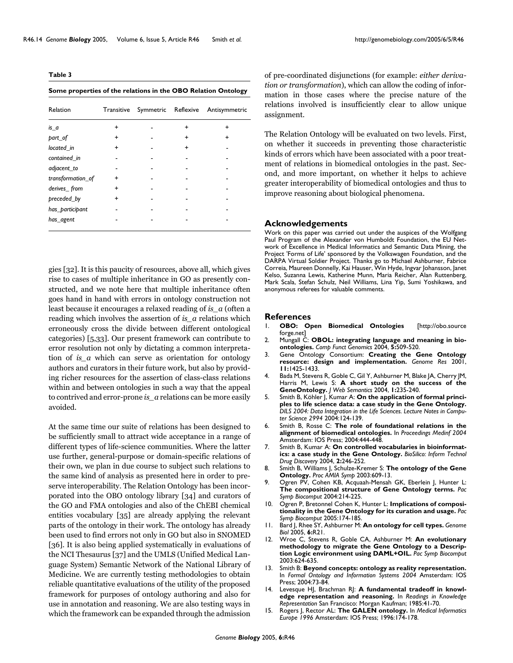<span id="page-13-0"></span>

|--|--|

| Some properties of the relations in the OBO Relation Ontology |            |                     |  |               |
|---------------------------------------------------------------|------------|---------------------|--|---------------|
| Relation                                                      | Transitive | Symmetric Reflexive |  | Antisymmetric |
| is_a                                                          | +          |                     |  |               |
| part_of                                                       | +          |                     |  |               |
| located in                                                    | +          |                     |  |               |
| contained in                                                  |            |                     |  |               |
| adjacent_to                                                   |            |                     |  |               |
| transformation_of                                             | +          |                     |  |               |
| derives_from                                                  | +          |                     |  |               |
| preceded_by                                                   | +          |                     |  |               |
| has_participant                                               |            |                     |  |               |
| has_agent                                                     |            |                     |  |               |

gies [32]. It is this paucity of resources, above all, which gives rise to cases of multiple inheritance in GO as presently constructed, and we note here that multiple inheritance often goes hand in hand with errors in ontology construction not least because it encourages a relaxed reading of *is\_a* (often a reading which involves the assertion of *is\_a* relations which erroneously cross the divide between different ontological categories) [5,33]. Our present framework can contribute to error resolution not only by dictating a common interpretation of *is\_a* which can serve as orientation for ontology authors and curators in their future work, but also by providing richer resources for the assertion of class-class relations within and between ontologies in such a way that the appeal to contrived and error-prone *is\_a* relations can be more easily avoided.

At the same time our suite of relations has been designed to be sufficiently small to attract wide acceptance in a range of different types of life-science communities. Where the latter use further, general-purpose or domain-specific relations of their own, we plan in due course to subject such relations to the same kind of analysis as presented here in order to preserve interoperability. The Relation Ontology has been incorporated into the OBO ontology library [34] and curators of the GO and FMA ontologies and also of the ChEBI chemical entities vocabulary [35] are already applying the relevant parts of the ontology in their work. The ontology has already been used to find errors not only in GO but also in SNOMED [36]. It is also being applied systematically in evaluations of the NCI Thesaurus [37] and the UMLS (Unified Medical Language System) Semantic Network of the National Library of Medicine. We are currently testing methodologies to obtain reliable quantitative evaluations of the utility of the proposed framework for purposes of ontology authoring and also for use in annotation and reasoning. We are also testing ways in which the framework can be expanded through the admission

of pre-coordinated disjunctions (for example: *either derivation or transformation*), which can allow the coding of information in those cases where the precise nature of the relations involved is insufficiently clear to allow unique assignment.

The Relation Ontology will be evaluated on two levels. First, on whether it succeeds in preventing those characteristic kinds of errors which have been associated with a poor treatment of relations in biomedical ontologies in the past. Second, and more important, on whether it helps to achieve greater interoperability of biomedical ontologies and thus to improve reasoning about biological phenomena.

#### **Acknowledgements**

Work on this paper was carried out under the auspices of the Wolfgang Paul Program of the Alexander von Humboldt Foundation, the EU Network of Excellence in Medical Informatics and Semantic Data Mining, the Project 'Forms of Life' sponsored by the Volkswagen Foundation, and the DARPA Virtual Soldier Project. Thanks go to Michael Ashburner, Fabrice Correia, Maureen Donnelly, Kai Hauser, Win Hyde, Ingvar Johansson, Janet Kelso, Suzanna Lewis, Katherine Munn, Maria Reicher, Alan Ruttenberg, Mark Scala, Stefan Schulz, Neil Williams, Lina Yip, Sumi Yoshikawa, and anonymous referees for valuable comments.

#### **References**

- 1. **OBO: Open Biomedical Ontologies** [\[http://obo.source](http://obo.sourceforge.net) [forge.net\]](http://obo.sourceforge.net)
- 2. Mungall C: **OBOL: integrating language and meaning in bioontologies.** *Comp Funct Genomics* 2004, **5:**509-520.
- 3. Gene Ontology Consortium: **[Creating the Gene Ontology](http://www.ncbi.nlm.nih.gov/entrez/query.fcgi?cmd=Retrieve&db=PubMed&dopt=Abstract&list_uids=11483584) [resource: design and implementation.](http://www.ncbi.nlm.nih.gov/entrez/query.fcgi?cmd=Retrieve&db=PubMed&dopt=Abstract&list_uids=11483584)** *Genome Res* 2001, **11:**1425-1433.
- 4. Bada M, Stevens R, Goble C, Gil Y, Ashburner M, Blake JA, Cherry JM, Harris M, Lewis S: **A short study on the success of the GeneOntology.** *J Web Semantics* 2004, **1:**235-240.
- 5. Smith B, Köhler J, Kumar A: **On the application of formal principles to life science data: a case study in the Gene Ontology.** *DILS 2004: Data Integration in the Life Sciences. Lecture Notes in Computer Science 2994* 2004:124-139.
- 6. Smith B, Rosse C: **The role of foundational relations in the alignment of biomedical ontologies.** In *Proceedings Medinf 2004* Amsterdam: IOS Press; 2004:444-448.
- 7. Smith B, Kumar A: **On controlled vocabularies in bioinformatics: a case study in the Gene Ontology.** *BioSilico: Inform Technol Drug Discovery* 2004, **2:**246-252.
- 8. Smith B, Williams J, Schulze-Kremer S: **[The ontology of the Gene](http://www.ncbi.nlm.nih.gov/entrez/query.fcgi?cmd=Retrieve&db=PubMed&dopt=Abstract&list_uids=14728245) [Ontology.](http://www.ncbi.nlm.nih.gov/entrez/query.fcgi?cmd=Retrieve&db=PubMed&dopt=Abstract&list_uids=14728245)** *Proc AMIA Symp* 2003:609-13.
- 9. Ogren PV, Cohen KB, Acquaah-Mensah GK, Eberlein J, Hunter L: **[The compositional structure of Gene Ontology terms.](http://www.ncbi.nlm.nih.gov/entrez/query.fcgi?cmd=Retrieve&db=PubMed&dopt=Abstract&list_uids=14992505)** *Pac Symp Biocomput* 2004:214-225.
- 10. Ogren P, Bretonnel Cohen K, Hunter L: **[Implications of composi](http://www.ncbi.nlm.nih.gov/entrez/query.fcgi?cmd=Retrieve&db=PubMed&dopt=Abstract&list_uids=15759624)[tionality in the Gene Ontology for its curation and usage.](http://www.ncbi.nlm.nih.gov/entrez/query.fcgi?cmd=Retrieve&db=PubMed&dopt=Abstract&list_uids=15759624)** *Pac Symp Biocomput* 2005:174-185.
- 11. Bard J, Rhee SY, Ashburner M: **[An ontology for cell types.](http://www.ncbi.nlm.nih.gov/entrez/query.fcgi?cmd=Retrieve&db=PubMed&dopt=Abstract&list_uids=15693950)** *Genome Biol* 2005, **6:**R21.
- 12. Wroe C, Stevens R, Goble CA, Ashburner M: **[An evolutionary](http://www.ncbi.nlm.nih.gov/entrez/query.fcgi?cmd=Retrieve&db=PubMed&dopt=Abstract&list_uids=12603063) [methodology to migrate the Gene Ontology to a Descrip](http://www.ncbi.nlm.nih.gov/entrez/query.fcgi?cmd=Retrieve&db=PubMed&dopt=Abstract&list_uids=12603063)[tion Logic environment using DAML+OIL.](http://www.ncbi.nlm.nih.gov/entrez/query.fcgi?cmd=Retrieve&db=PubMed&dopt=Abstract&list_uids=12603063)** *Pac Symp Biocomput* 2003:624-635.
- 13. Smith B: **Beyond concepts: ontology as reality representation.** In *Formal Ontology and Information Systems 2004* Amsterdam: IOS Press; 2004:73-84.
- 14. Levesque HJ, Brachman RJ: **A fundamental tradeoff in knowledge representation and reasoning.** In *Readings in Knowledge Representation* San Francisco: Morgan Kaufman; 1985:41-70.
- 15. Rogers J, Rector AL: **The GALEN ontology.** In *Medical Informatics Europe 1996* Amsterdam: IOS Press; 1996:174-178.